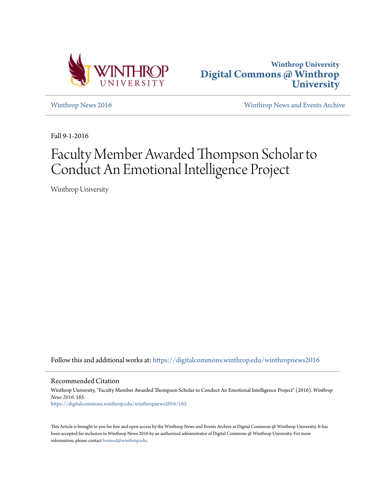



[Winthrop News 2016](https://digitalcommons.winthrop.edu/winthropnews2016?utm_source=digitalcommons.winthrop.edu%2Fwinthropnews2016%2F165&utm_medium=PDF&utm_campaign=PDFCoverPages) [Winthrop News and Events Archive](https://digitalcommons.winthrop.edu/winthropnewsarchives?utm_source=digitalcommons.winthrop.edu%2Fwinthropnews2016%2F165&utm_medium=PDF&utm_campaign=PDFCoverPages)

Fall 9-1-2016

## Faculty Member Awarded Thompson Scholar to Conduct An Emotional Intelligence Project

Winthrop University

Follow this and additional works at: [https://digitalcommons.winthrop.edu/winthropnews2016](https://digitalcommons.winthrop.edu/winthropnews2016?utm_source=digitalcommons.winthrop.edu%2Fwinthropnews2016%2F165&utm_medium=PDF&utm_campaign=PDFCoverPages)

Recommended Citation

Winthrop University, "Faculty Member Awarded Thompson Scholar to Conduct An Emotional Intelligence Project" (2016). *Winthrop News 2016*. 165. [https://digitalcommons.winthrop.edu/winthropnews2016/165](https://digitalcommons.winthrop.edu/winthropnews2016/165?utm_source=digitalcommons.winthrop.edu%2Fwinthropnews2016%2F165&utm_medium=PDF&utm_campaign=PDFCoverPages)

This Article is brought to you for free and open access by the Winthrop News and Events Archive at Digital Commons @ Winthrop University. It has been accepted for inclusion in Winthrop News 2016 by an authorized administrator of Digital Commons @ Winthrop University. For more information, please contact [bramed@winthrop.edu](mailto:bramed@winthrop.edu).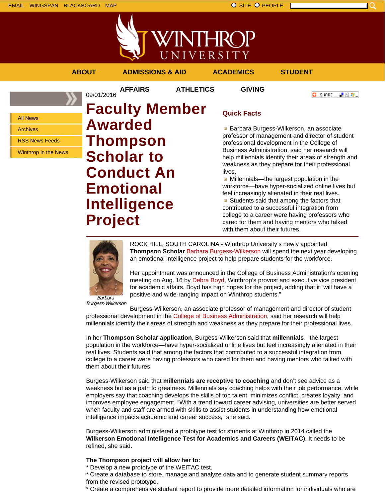



**AFFAIRS ATHLETICS GIVING**

**ABOUT ADMISSIONS & AID ACADEMICS STUDENT**

**O** SHARE

上脸身。

All News

Archives

RSS News Feeds

Winthrop in the News

09/01/2016 **Faculty Member Awarded Thompson Scholar to Conduct An Emotional Intelligence Project**

## **Quick Facts**

**Barbara Burgess-Wilkerson, an associate** professor of management and director of student professional development in the College of Business Administration, said her research will help millennials identify their areas of strength and weakness as they prepare for their professional lives.

**Millennials—the largest population in the** workforce—have hyper-socialized online lives but feel increasingly alienated in their real lives.

Students said that among the factors that contributed to a successful integration from college to a career were having professors who cared for them and having mentors who talked with them about their futures.



ROCK HILL, SOUTH CAROLINA - Winthrop University's newly appointed **Thompson Scholar** Barbara Burgess-Wilkerson will spend the next year developing an emotional intelligence project to help prepare students for the workforce.

Her appointment was announced in the College of Business Administration's opening meeting on Aug. 16 by Debra Boyd, Winthrop's provost and executive vice president for academic affairs. Boyd has high hopes for the project, adding that it "will have a positive and wide-ranging impact on Winthrop students."

Barbara Burgess-Wilkerson

Burgess-Wilkerson, an associate professor of management and director of student professional development in the College of Business Administration, said her research will help millennials identify their areas of strength and weakness as they prepare for their professional lives.

In her **Thompson Scholar application**, Burgess-Wilkerson said that **millennials**—the largest population in the workforce—have hyper-socialized online lives but feel increasingly alienated in their real lives. Students said that among the factors that contributed to a successful integration from college to a career were having professors who cared for them and having mentors who talked with them about their futures.

Burgess-Wilkerson said that **millennials are receptive to coaching** and don't see advice as a weakness but as a path to greatness. Millennials say coaching helps with their job performance, while employers say that coaching develops the skills of top talent, minimizes conflict, creates loyalty, and improves employee engagement. "With a trend toward career advising, universities are better served when faculty and staff are armed with skills to assist students in understanding how emotional intelligence impacts academic and career success," she said.

Burgess-Wilkerson administered a prototype test for students at Winthrop in 2014 called the **Wilkerson Emotional Intelligence Test for Academics and Careers (WEITAC)**. It needs to be refined, she said.

## **The Thompson project will allow her to:**

\* Develop a new prototype of the WEITAC test.

\* Create a database to store, manage and analyze data and to generate student summary reports from the revised prototype.

\* Create a comprehensive student report to provide more detailed information for individuals who are